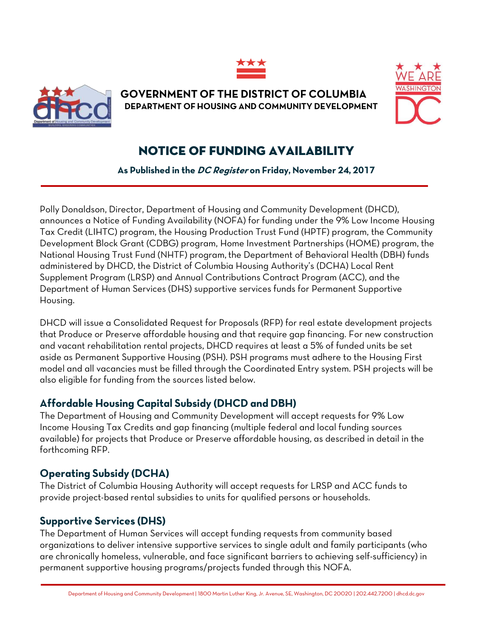



**GOVERNMENT OF THE DISTRICT OF COLUMBIA DEPARTMENT OF HOUSING AND COMMUNITY DEVELOPMENT**



## NOTICE OF FUNDING AVAILABILITY

**As Published in the DC Register on Friday, November 24, 2017**

Polly Donaldson, Director, Department of Housing and Community Development (DHCD), announces a Notice of Funding Availability (NOFA) for funding under the 9% Low Income Housing Tax Credit (LIHTC) program, the Housing Production Trust Fund (HPTF) program, the Community Development Block Grant (CDBG) program, Home Investment Partnerships (HOME) program, the National Housing Trust Fund (NHTF) program, the Department of Behavioral Health (DBH) funds administered by DHCD, the District of Columbia Housing Authority's (DCHA) Local Rent Supplement Program (LRSP) and Annual Contributions Contract Program (ACC), and the Department of Human Services (DHS) supportive services funds for Permanent Supportive Housing.

DHCD will issue a Consolidated Request for Proposals (RFP) for real estate development projects that Produce or Preserve affordable housing and that require gap financing. For new construction and vacant rehabilitation rental projects, DHCD requires at least a 5% of funded units be set aside as Permanent Supportive Housing (PSH). PSH programs must adhere to the Housing First model and all vacancies must be filled through the Coordinated Entry system. PSH projects will be also eligible for funding from the sources listed below.

## **Affordable Housing Capital Subsidy (DHCD and DBH)**

The Department of Housing and Community Development will accept requests for 9% Low Income Housing Tax Credits and gap financing (multiple federal and local funding sources available) for projects that Produce or Preserve affordable housing, as described in detail in the forthcoming RFP.

## **Operating Subsidy (DCHA)**

The District of Columbia Housing Authority will accept requests for LRSP and ACC funds to provide project-based rental subsidies to units for qualified persons or households.

## **Supportive Services (DHS)**

The Department of Human Services will accept funding requests from community based organizations to deliver intensive supportive services to single adult and family participants (who are chronically homeless, vulnerable, and face significant barriers to achieving self-sufficiency) in permanent supportive housing programs/projects funded through this NOFA.